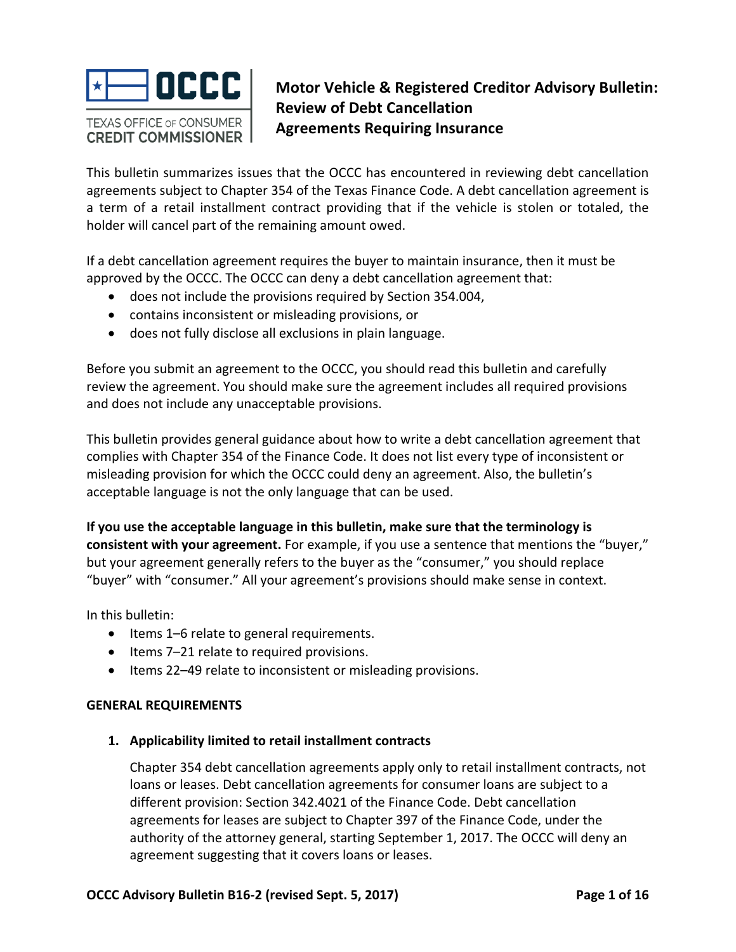

# **Motor Vehicle & Registered Creditor Advisory Bulletin: Review of Debt Cancellation Agreements Requiring Insurance**

 This bulletin summarizes issues that the OCCC has encountered in reviewing debt cancellation agreements subject to Chapter 354 of the Texas Finance Code. A debt cancellation agreement is a term of a retail installment contract providing that if the vehicle is stolen or totaled, the holder will cancel part of the remaining amount owed.

 If a debt cancellation agreement requires the buyer to maintain insurance, then it must be approved by the OCCC. The OCCC can deny a debt cancellation agreement that:

- does not include the provisions required by Section 354.004,
- contains inconsistent or misleading provisions, or
- does not fully disclose all exclusions in plain language.

 Before you submit an agreement to the OCCC, you should read this bulletin and carefully review the agreement. You should make sure the agreement includes all required provisions and does not include any unacceptable provisions.

 This bulletin provides general guidance about how to write a debt cancellation agreement that complies with Chapter 354 of the Finance Code. It does not list every type of inconsistent or misleading provision for which the OCCC could deny an agreement. Also, the bulletin's acceptable language is not the only language that can be used.

If you use the acceptable language in this bulletin, make sure that the terminology is  **consistent with your agreement.** For example, if you use a sentence that mentions the "buyer," but your agreement generally refers to the buyer as the "consumer," you should replace "buyer" with "consumer." All your agreement's provisions should make sense in context.

In this bulletin:

- Items 1-6 relate to general requirements.
- Items 7-21 relate to required provisions.
- Items 22-49 relate to inconsistent or misleading provisions.

### **GENERAL REQUIREMENTS**

# **1. Applicability limited to retail installment contracts**

 Chapter 354 debt cancellation agreements apply only to retail installment contracts, not loans or leases. Debt cancellation agreements for consumer loans are subject to a different provision: Section 342.4021 of the Finance Code. Debt cancellation agreements for leases are subject to Chapter 397 of the Finance Code, under the authority of the attorney general, starting September 1, 2017. The OCCC will deny an agreement suggesting that it covers loans or leases.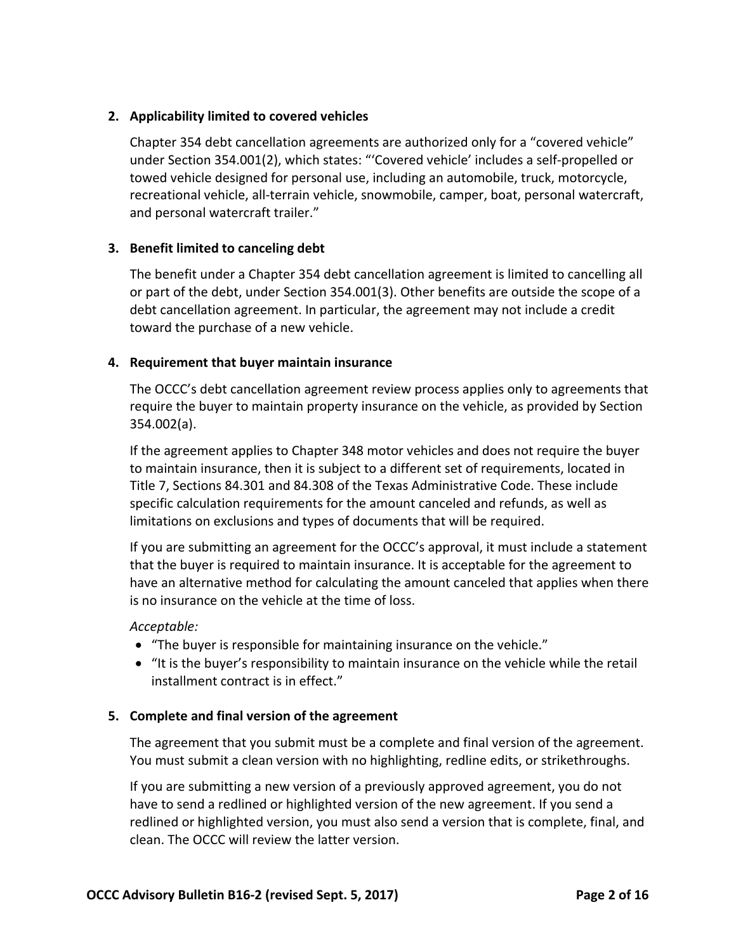# **2. Applicability limited to covered vehicles**

 Chapter 354 debt cancellation agreements are authorized only for a "covered vehicle" under Section 354.001(2), which states: "'Covered vehicle' includes a self‐propelled or towed vehicle designed for personal use, including an automobile, truck, motorcycle, recreational vehicle, all‐terrain vehicle, snowmobile, camper, boat, personal watercraft, and personal watercraft trailer."

# **3. Benefit limited to canceling debt**

 The benefit under a Chapter 354 debt cancellation agreement is limited to cancelling all or part of the debt, under Section 354.001(3). Other benefits are outside the scope of a debt cancellation agreement. In particular, the agreement may not include a credit toward the purchase of a new vehicle.

# **4. Requirement that buyer maintain insurance**

 The OCCC's debt cancellation agreement review process applies only to agreements that require the buyer to maintain property insurance on the vehicle, as provided by Section 354.002(a).

 If the agreement applies to Chapter 348 motor vehicles and does not require the buyer to maintain insurance, then it is subject to a different set of requirements, located in Title 7, Sections 84.301 and 84.308 of the Texas Administrative Code. These include specific calculation requirements for the amount canceled and refunds, as well as limitations on exclusions and types of documents that will be required.

 If you are submitting an agreement for the OCCC's approval, it must include a statement that the buyer is required to maintain insurance. It is acceptable for the agreement to have an alternative method for calculating the amount canceled that applies when there is no insurance on the vehicle at the time of loss.

### *Acceptable:*

- "The buyer is responsible for maintaining insurance on the vehicle."
- "It is the buyer's responsibility to maintain insurance on the vehicle while the retail installment contract is in effect."

### **5. Complete and final version of the agreement**

 The agreement that you submit must be a complete and final version of the agreement. You must submit a clean version with no highlighting, redline edits, or strikethroughs.

 If you are submitting a new version of a previously approved agreement, you do not have to send a redlined or highlighted version of the new agreement. If you send a redlined or highlighted version, you must also send a version that is complete, final, and clean. The OCCC will review the latter version.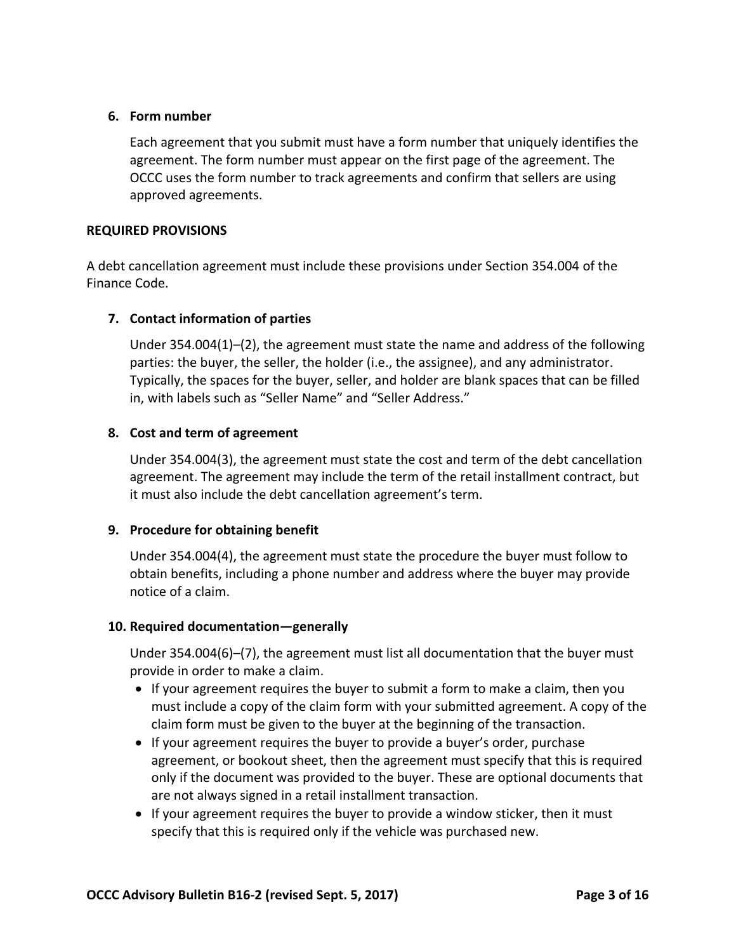### **6. Form number**

 Each agreement that you submit must have a form number that uniquely identifies the agreement. The form number must appear on the first page of the agreement. The OCCC uses the form number to track agreements and confirm that sellers are using approved agreements.

### **REQUIRED PROVISIONS**

 A debt cancellation agreement must include these provisions under Section 354.004 of the Finance Code.

# **7. Contact information of parties**

 Under 354.004(1)–(2), the agreement must state the name and address of the following parties: the buyer, the seller, the holder (i.e., the assignee), and any administrator. Typically, the spaces for the buyer, seller, and holder are blank spaces that can be filled in, with labels such as "Seller Name" and "Seller Address."

# **8. Cost and term of agreement**

 Under 354.004(3), the agreement must state the cost and term of the debt cancellation agreement. The agreement may include the term of the retail installment contract, but it must also include the debt cancellation agreement's term.

# **9. Procedure for obtaining benefit**

 Under 354.004(4), the agreement must state the procedure the buyer must follow to obtain benefits, including a phone number and address where the buyer may provide notice of a claim.

### **10. Required documentation—generally**

 Under 354.004(6)–(7), the agreement must list all documentation that the buyer must provide in order to make a claim.

- If your agreement requires the buyer to submit a form to make a claim, then you must include a copy of the claim form with your submitted agreement. A copy of the claim form must be given to the buyer at the beginning of the transaction.
- If your agreement requires the buyer to provide a buyer's order, purchase agreement, or bookout sheet, then the agreement must specify that this is required only if the document was provided to the buyer. These are optional documents that are not always signed in a retail installment transaction.
- If your agreement requires the buyer to provide a window sticker, then it must specify that this is required only if the vehicle was purchased new.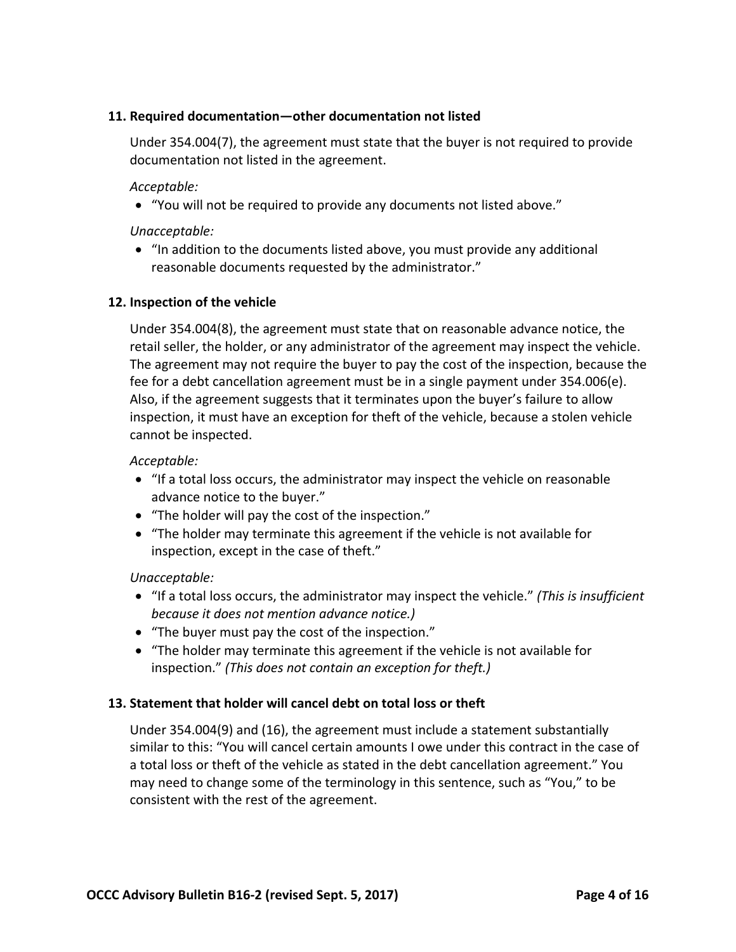# **11. Required documentation—other documentation not listed**

 Under 354.004(7), the agreement must state that the buyer is not required to provide documentation not listed in the agreement.

*Acceptable:*

 "You will not be required to provide any documents not listed above."

### *Unacceptable:*

 "In addition to the documents listed above, you must provide any additional reasonable documents requested by the administrator."

### **12. Inspection of the vehicle**

 Under 354.004(8), the agreement must state that on reasonable advance notice, the retail seller, the holder, or any administrator of the agreement may inspect the vehicle. The agreement may not require the buyer to pay the cost of the inspection, because the fee for a debt cancellation agreement must be in a single payment under 354.006(e). Also, if the agreement suggests that it terminates upon the buyer's failure to allow inspection, it must have an exception for theft of the vehicle, because a stolen vehicle cannot be inspected.

#### *Acceptable:*

- "If a total loss occurs, the administrator may inspect the vehicle on reasonable advance notice to the buyer."
- "The holder will pay the cost of the inspection."
- "The holder may terminate this agreement if the vehicle is not available for inspection, except in the case of theft."

### *Unacceptable:*

- "If a total loss occurs, the administrator may inspect the vehicle." *(This is insufficient because it does not mention advance notice.)*
- "The buyer must pay the cost of the inspection."
- "The holder may terminate this agreement if the vehicle is not available for  inspection." *(This does not contain an exception for theft.)*

### **13. Statement that holder will cancel debt on total loss or theft**

 Under 354.004(9) and (16), the agreement must include a statement substantially similar to this: "You will cancel certain amounts I owe under this contract in the case of a total loss or theft of the vehicle as stated in the debt cancellation agreement." You may need to change some of the terminology in this sentence, such as "You," to be consistent with the rest of the agreement.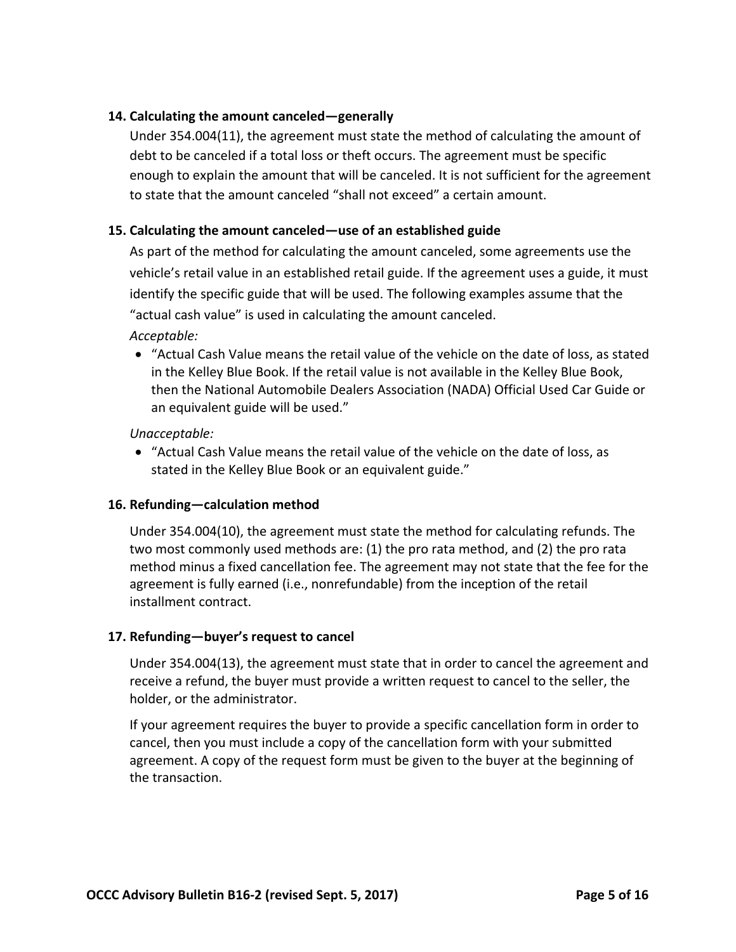# **14. Calculating the amount canceled—generally**

 Under 354.004(11), the agreement must state the method of calculating the amount of debt to be canceled if a total loss or theft occurs. The agreement must be specific enough to explain the amount that will be canceled. It is not sufficient for the agreement to state that the amount canceled "shall not exceed" a certain amount.

# **15. Calculating the amount canceled—use of an established guide**

 As part of the method for calculating the amount canceled, some agreements use the vehicle's retail value in an established retail guide. If the agreement uses a guide, it must identify the specific guide that will be used. The following examples assume that the "actual cash value" is used in calculating the amount canceled.

*Acceptable:*

 • "Actual Cash Value means the retail value of the vehicle on the date of loss, as stated in the Kelley Blue Book. If the retail value is not available in the Kelley Blue Book, then the National Automobile Dealers Association (NADA) Official Used Car Guide or an equivalent guide will be used."

*Unacceptable:*

 "Actual Cash Value means the retail value of the vehicle on the date of loss, as stated in the Kelley Blue Book or an equivalent guide."

# **16. Refunding—calculation method**

 Under 354.004(10), the agreement must state the method for calculating refunds. The two most commonly used methods are: (1) the pro rata method, and (2) the pro rata method minus a fixed cancellation fee. The agreement may not state that the fee for the agreement is fully earned (i.e., nonrefundable) from the inception of the retail installment contract.

### **17. Refunding—buyer's request to cancel**

 Under 354.004(13), the agreement must state that in order to cancel the agreement and receive a refund, the buyer must provide a written request to cancel to the seller, the holder, or the administrator.

 If your agreement requires the buyer to provide a specific cancellation form in order to cancel, then you must include a copy of the cancellation form with your submitted agreement. A copy of the request form must be given to the buyer at the beginning of the transaction.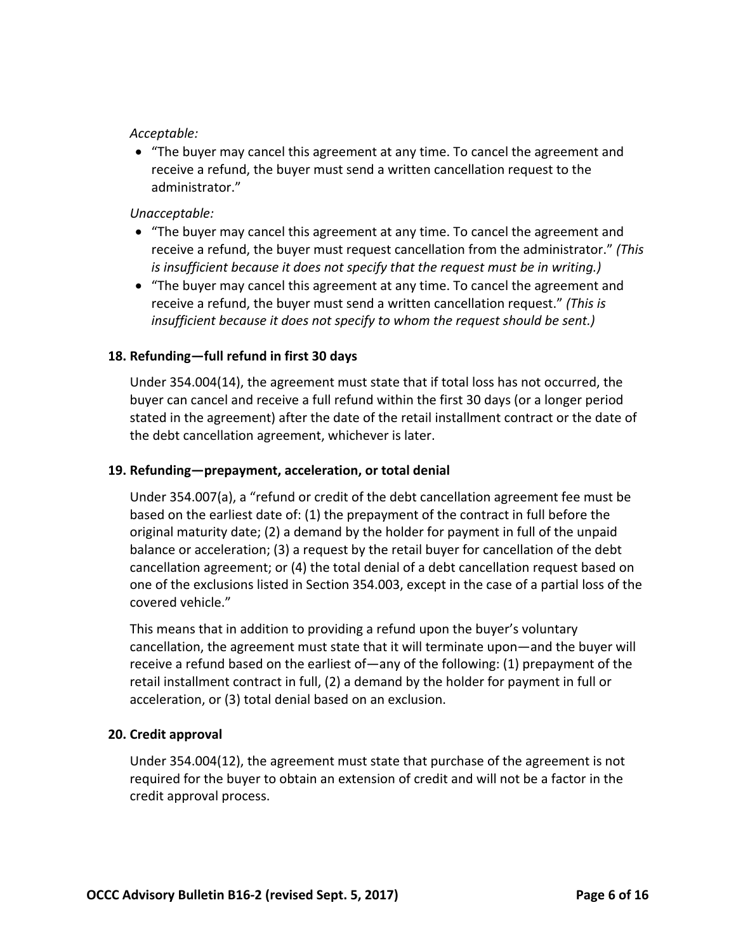### *Acceptable:*

 "The buyer may cancel this agreement at any time. To cancel the agreement and receive a refund, the buyer must send a written cancellation request to the administrator."

# *Unacceptable:*

- "The buyer may cancel this agreement at any time. To cancel the agreement and receive a refund, the buyer must request cancellation from the administrator." *(This is insufficient because it does not specify that the request must be in writing.)*
- "The buyer may cancel this agreement at any time. To cancel the agreement and  receive a refund, the buyer must send a written cancellation request." *(This is insufficient because it does not specify to whom the request should be sent.)*

# **18. Refunding—full refund in first 30 days**

 Under 354.004(14), the agreement must state that if total loss has not occurred, the buyer can cancel and receive a full refund within the first 30 days (or a longer period stated in the agreement) after the date of the retail installment contract or the date of the debt cancellation agreement, whichever is later.

# **19. Refunding—prepayment, acceleration, or total denial**

 Under 354.007(a), a "refund or credit of the debt cancellation agreement fee must be based on the earliest date of: (1) the prepayment of the contract in full before the original maturity date; (2) a demand by the holder for payment in full of the unpaid balance or acceleration; (3) a request by the retail buyer for cancellation of the debt cancellation agreement; or (4) the total denial of a debt cancellation request based on one of the exclusions listed in Section 354.003, except in the case of a partial loss of the covered vehicle."

 This means that in addition to providing a refund upon the buyer's voluntary cancellation, the agreement must state that it will terminate upon—and the buyer will receive a refund based on the earliest of—any of the following: (1) prepayment of the retail installment contract in full, (2) a demand by the holder for payment in full or acceleration, or (3) total denial based on an exclusion.

# **20. Credit approval**

 Under 354.004(12), the agreement must state that purchase of the agreement is not required for the buyer to obtain an extension of credit and will not be a factor in the credit approval process.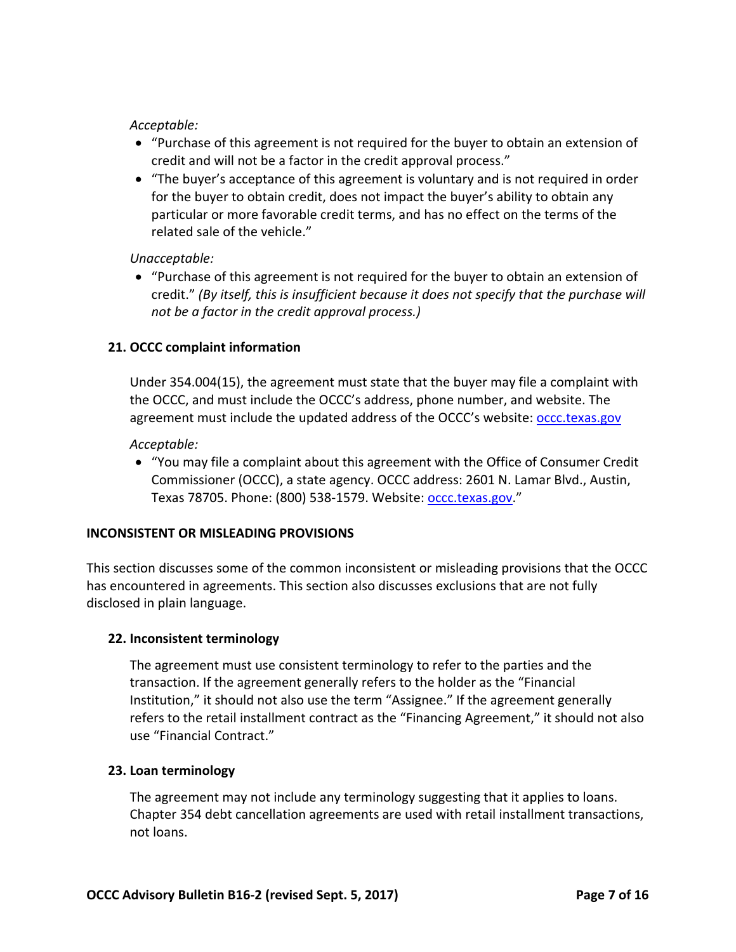### *Acceptable:*

- "Purchase of this agreement is not required for the buyer to obtain an extension of credit and will not be a factor in the credit approval process."
- "The buyer's acceptance of this agreement is voluntary and is not required in order for the buyer to obtain credit, does not impact the buyer's ability to obtain any particular or more favorable credit terms, and has no effect on the terms of the related sale of the vehicle."

# *Unacceptable:*

 "Purchase of this agreement is not required for the buyer to obtain an extension of credit." (By itself, this is insufficient because it does not specify that the purchase will  *not be a factor in the credit approval process.)*

# **21. OCCC complaint information**

 Under 354.004(15), the agreement must state that the buyer may file a complaint with the OCCC, and must include the OCCC's address, phone number, and website. The agreement must include the updated address of the OCCC's website: **occc.texas.gov** 

### *Acceptable:*

 "You may file a complaint about this agreement with the Office of Consumer Credit Commissioner (OCCC), a state agency. OCCC address: 2601 N. Lamar Blvd., Austin, Texas 78705. Phone: (800) 538-1579. Website: <u>occc.texas.gov</u>."

# **INCONSISTENT OR MISLEADING PROVISIONS**

 This section discusses some of the common inconsistent or misleading provisions that the OCCC has encountered in agreements. This section also discusses exclusions that are not fully disclosed in plain language.

### **22. Inconsistent terminology**

 The agreement must use consistent terminology to refer to the parties and the transaction. If the agreement generally refers to the holder as the "Financial Institution," it should not also use the term "Assignee." If the agreement generally refers to the retail installment contract as the "Financing Agreement," it should not also use "Financial Contract."

### **23. Loan terminology**

 The agreement may not include any terminology suggesting that it applies to loans. Chapter 354 debt cancellation agreements are used with retail installment transactions, not loans.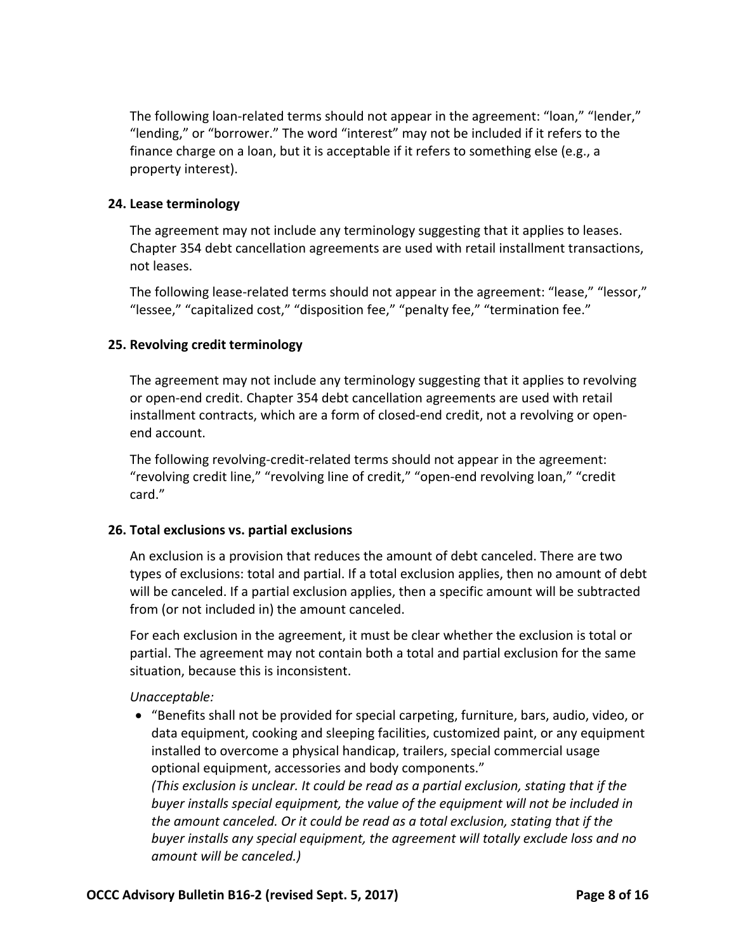The following loan‐related terms should not appear in the agreement: "loan," "lender," "lending," or "borrower." The word "interest" may not be included if it refers to the finance charge on a loan, but it is acceptable if it refers to something else (e.g., a property interest).

### **24. Lease terminology**

 The agreement may not include any terminology suggesting that it applies to leases. Chapter 354 debt cancellation agreements are used with retail installment transactions, not leases.

 The following lease‐related terms should not appear in the agreement: "lease," "lessor," "lessee," "capitalized cost," "disposition fee," "penalty fee," "termination fee."

# **25. Revolving credit terminology**

 The agreement may not include any terminology suggesting that it applies to revolving or open‐end credit. Chapter 354 debt cancellation agreements are used with retail installment contracts, which are a form of closed‐end credit, not a revolving or open‐ end account.

 The following revolving‐credit‐related terms should not appear in the agreement: "revolving credit line," "revolving line of credit," "open‐end revolving loan," "credit card."

### **26. Total exclusions vs. partial exclusions**

 An exclusion is a provision that reduces the amount of debt canceled. There are two types of exclusions: total and partial. If a total exclusion applies, then no amount of debt will be canceled. If a partial exclusion applies, then a specific amount will be subtracted from (or not included in) the amount canceled.

 For each exclusion in the agreement, it must be clear whether the exclusion is total or partial. The agreement may not contain both a total and partial exclusion for the same situation, because this is inconsistent.

# *Unacceptable:*

 "Benefits shall not be provided for special carpeting, furniture, bars, audio, video, or data equipment, cooking and sleeping facilities, customized paint, or any equipment installed to overcome a physical handicap, trailers, special commercial usage optional equipment, accessories and body components."

(This exclusion is unclear. It could be read as a partial exclusion, stating that if the  *buyer installs special equipment, the value of the equipment will not be included in* the amount canceled. Or it could be read as a total exclusion, stating that if the  *buyer installs any special equipment, the agreement will totally exclude loss and no amount will be canceled.)*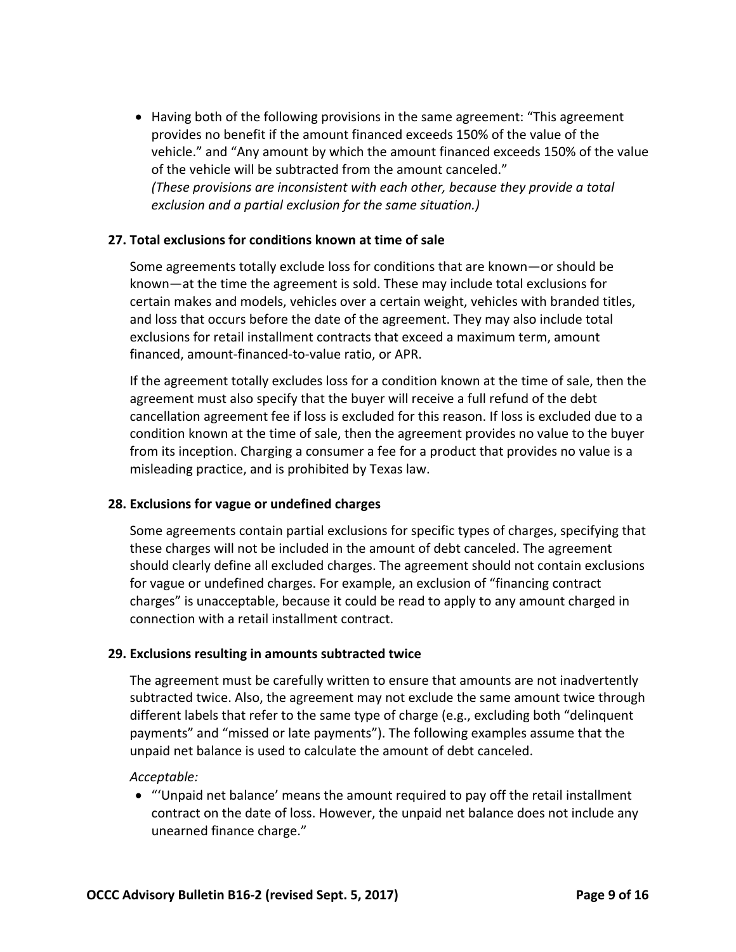Having both of the following provisions in the same agreement: "This agreement provides no benefit if the amount financed exceeds 150% of the value of the vehicle." and "Any amount by which the amount financed exceeds 150% of the value of the vehicle will be subtracted from the amount canceled."  *(These provisions are inconsistent with each other, because they provide a total exclusion and a partial exclusion for the same situation.)*

# **27. Total exclusions for conditions known at time of sale**

 Some agreements totally exclude loss for conditions that are known—or should be known—at the time the agreement is sold. These may include total exclusions for certain makes and models, vehicles over a certain weight, vehicles with branded titles, and loss that occurs before the date of the agreement. They may also include total exclusions for retail installment contracts that exceed a maximum term, amount financed, amount‐financed‐to‐value ratio, or APR.

 If the agreement totally excludes loss for a condition known at the time of sale, then the agreement must also specify that the buyer will receive a full refund of the debt cancellation agreement fee if loss is excluded for this reason. If loss is excluded due to a condition known at the time of sale, then the agreement provides no value to the buyer from its inception. Charging a consumer a fee for a product that provides no value is a misleading practice, and is prohibited by Texas law.

### **28. Exclusions for vague or undefined charges**

 Some agreements contain partial exclusions for specific types of charges, specifying that these charges will not be included in the amount of debt canceled. The agreement should clearly define all excluded charges. The agreement should not contain exclusions for vague or undefined charges. For example, an exclusion of "financing contract charges" is unacceptable, because it could be read to apply to any amount charged in connection with a retail installment contract.

### **29. Exclusions resulting in amounts subtracted twice**

 The agreement must be carefully written to ensure that amounts are not inadvertently subtracted twice. Also, the agreement may not exclude the same amount twice through different labels that refer to the same type of charge (e.g., excluding both "delinquent payments" and "missed or late payments"). The following examples assume that the unpaid net balance is used to calculate the amount of debt canceled.

#### *Acceptable:*

 "'Unpaid net balance' means the amount required to pay off the retail installment contract on the date of loss. However, the unpaid net balance does not include any unearned finance charge."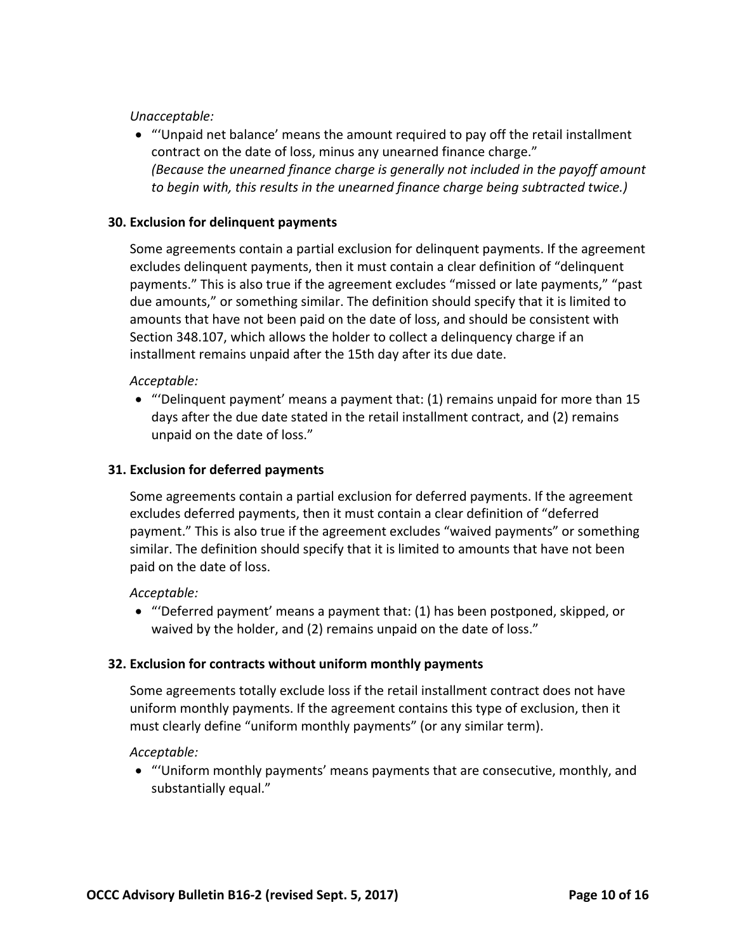*Unacceptable:*

 "'Unpaid net balance' means the amount required to pay off the retail installment contract on the date of loss, minus any unearned finance charge."  *(Because the unearned finance charge is generally not included in the payoff amount to begin with, this results in the unearned finance charge being subtracted twice.)*

### **30. Exclusion for delinquent payments**

 Some agreements contain a partial exclusion for delinquent payments. If the agreement excludes delinquent payments, then it must contain a clear definition of "delinquent payments." This is also true if the agreement excludes "missed or late payments," "past due amounts," or something similar. The definition should specify that it is limited to amounts that have not been paid on the date of loss, and should be consistent with Section 348.107, which allows the holder to collect a delinquency charge if an installment remains unpaid after the 15th day after its due date.

### *Acceptable:*

 "'Delinquent payment' means a payment that: (1) remains unpaid for more than 15 days after the due date stated in the retail installment contract, and (2) remains unpaid on the date of loss."

# **31. Exclusion for deferred payments**

 Some agreements contain a partial exclusion for deferred payments. If the agreement excludes deferred payments, then it must contain a clear definition of "deferred payment." This is also true if the agreement excludes "waived payments" or something similar. The definition should specify that it is limited to amounts that have not been paid on the date of loss.

### *Acceptable:*

 "'Deferred payment' means a payment that: (1) has been postponed, skipped, or waived by the holder, and (2) remains unpaid on the date of loss."

### **32. Exclusion for contracts without uniform monthly payments**

 Some agreements totally exclude loss if the retail installment contract does not have uniform monthly payments. If the agreement contains this type of exclusion, then it must clearly define "uniform monthly payments" (or any similar term).

### *Acceptable:*

 "'Uniform monthly payments' means payments that are consecutive, monthly, and substantially equal."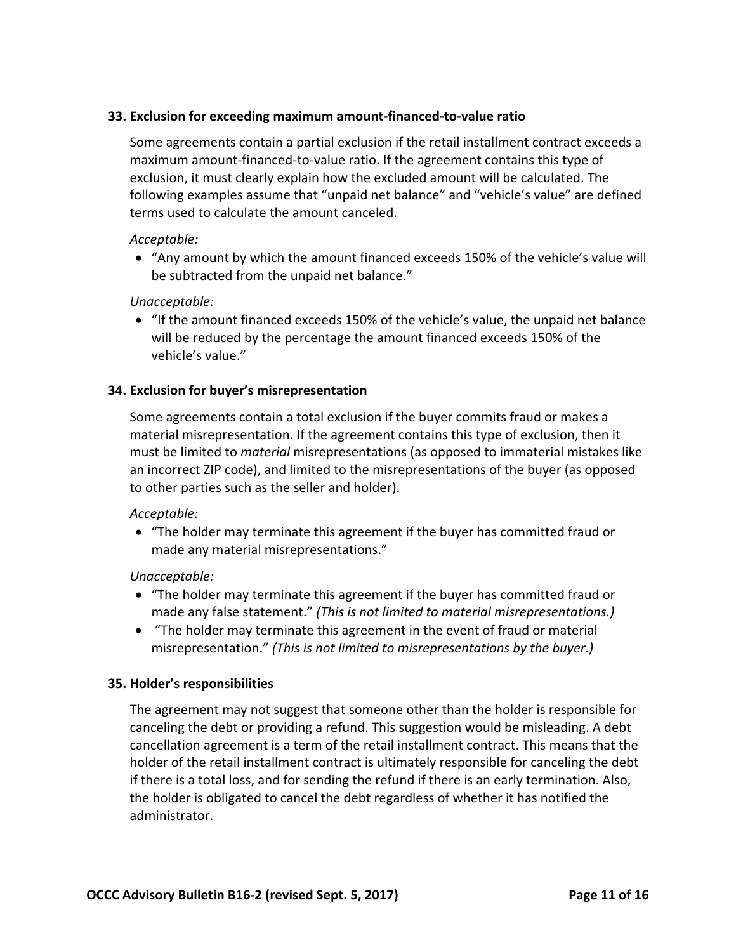# **33. Exclusion for exceeding maximum amount‐financed‐to‐value ratio**

 Some agreements contain a partial exclusion if the retail installment contract exceeds a maximum amount‐financed‐to‐value ratio. If the agreement contains this type of exclusion, it must clearly explain how the excluded amount will be calculated. The following examples assume that "unpaid net balance" and "vehicle's value" are defined terms used to calculate the amount canceled.

### *Acceptable:*

 "Any amount by which the amount financed exceeds 150% of the vehicle's value will be subtracted from the unpaid net balance."

### *Unacceptable:*

 "If the amount financed exceeds 150% of the vehicle's value, the unpaid net balance will be reduced by the percentage the amount financed exceeds 150% of the  vehicle's value."

# **34. Exclusion for buyer's misrepresentation**

 Some agreements contain a total exclusion if the buyer commits fraud or makes a material misrepresentation. If the agreement contains this type of exclusion, then it must be limited to *material* misrepresentations (as opposed to immaterial mistakes like an incorrect ZIP code), and limited to the misrepresentations of the buyer (as opposed to other parties such as the seller and holder).

#### *Acceptable:*

 "The holder may terminate this agreement if the buyer has committed fraud or made any material misrepresentations."

#### *Unacceptable:*

- "The holder may terminate this agreement if the buyer has committed fraud or  made any false statement." *(This is not limited to material misrepresentations.)*
- "The holder may terminate this agreement in the event of fraud or material  misrepresentation." *(This is not limited to misrepresentations by the buyer.)*

### **35. Holder's responsibilities**

 The agreement may not suggest that someone other than the holder is responsible for canceling the debt or providing a refund. This suggestion would be misleading. A debt cancellation agreement is a term of the retail installment contract. This means that the holder of the retail installment contract is ultimately responsible for canceling the debt if there is a total loss, and for sending the refund if there is an early termination. Also, the holder is obligated to cancel the debt regardless of whether it has notified the administrator.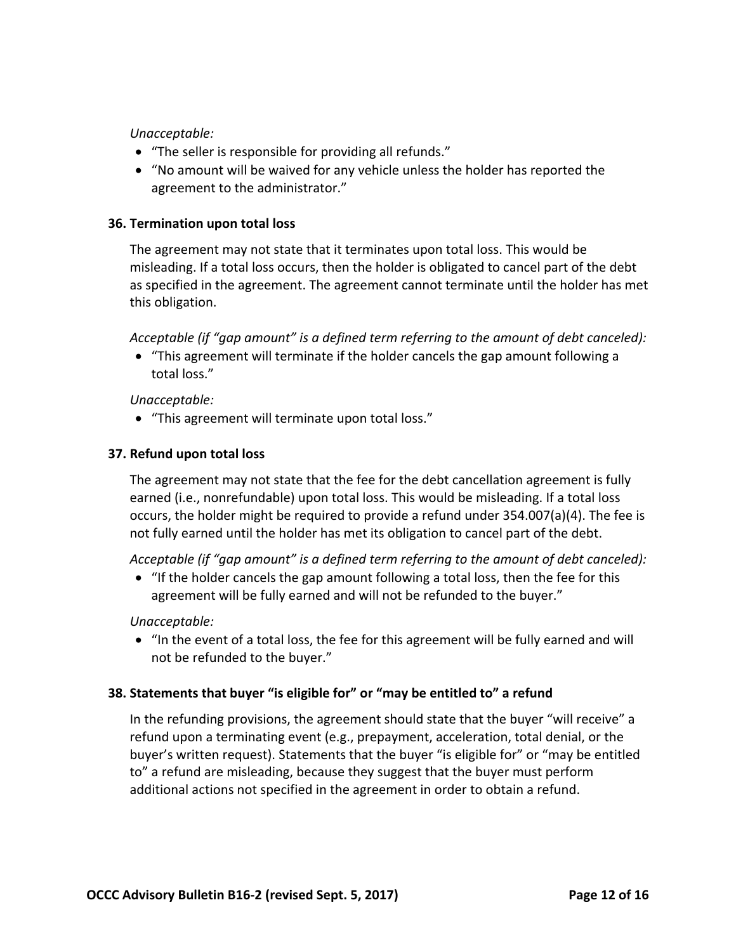*Unacceptable:*

- "The seller is responsible for providing all refunds."
- "No amount will be waived for any vehicle unless the holder has reported the agreement to the administrator."

### **36. Termination upon total loss**

 The agreement may not state that it terminates upon total loss. This would be misleading. If a total loss occurs, then the holder is obligated to cancel part of the debt as specified in the agreement. The agreement cannot terminate until the holder has met this obligation.

Acceptable (if "gap amount" is a defined term referring to the amount of debt canceled):

 "This agreement will terminate if the holder cancels the gap amount following a total loss."

*Unacceptable:*

 "This agreement will terminate upon total loss."

# **37. Refund upon total loss**

 The agreement may not state that the fee for the debt cancellation agreement is fully earned (i.e., nonrefundable) upon total loss. This would be misleading. If a total loss occurs, the holder might be required to provide a refund under 354.007(a)(4). The fee is not fully earned until the holder has met its obligation to cancel part of the debt.

Acceptable (if "gap amount" is a defined term referring to the amount of debt canceled):

 "If the holder cancels the gap amount following a total loss, then the fee for this agreement will be fully earned and will not be refunded to the buyer."

*Unacceptable:*

 "In the event of a total loss, the fee for this agreement will be fully earned and will not be refunded to the buyer."

# **38. Statements that buyer "is eligible for" or "may be entitled to" a refund**

 In the refunding provisions, the agreement should state that the buyer "will receive" a refund upon a terminating event (e.g., prepayment, acceleration, total denial, or the buyer's written request). Statements that the buyer "is eligible for" or "may be entitled to" a refund are misleading, because they suggest that the buyer must perform  additional actions not specified in the agreement in order to obtain a refund.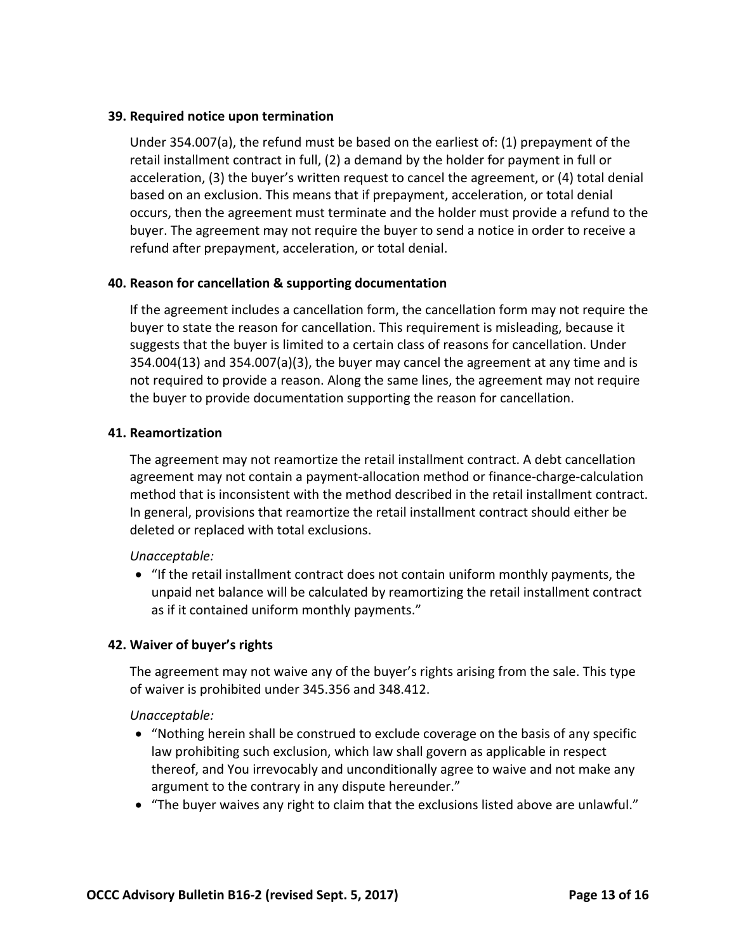# **39. Required notice upon termination**

 Under 354.007(a), the refund must be based on the earliest of: (1) prepayment of the retail installment contract in full, (2) a demand by the holder for payment in full or acceleration, (3) the buyer's written request to cancel the agreement, or (4) total denial based on an exclusion. This means that if prepayment, acceleration, or total denial occurs, then the agreement must terminate and the holder must provide a refund to the buyer. The agreement may not require the buyer to send a notice in order to receive a refund after prepayment, acceleration, or total denial.

### **40. Reason for cancellation & supporting documentation**

 If the agreement includes a cancellation form, the cancellation form may not require the buyer to state the reason for cancellation. This requirement is misleading, because it suggests that the buyer is limited to a certain class of reasons for cancellation. Under 354.004(13) and 354.007(a)(3), the buyer may cancel the agreement at any time and is not required to provide a reason. Along the same lines, the agreement may not require the buyer to provide documentation supporting the reason for cancellation.

#### **41. Reamortization**

 The agreement may not reamortize the retail installment contract. A debt cancellation agreement may not contain a payment‐allocation method or finance‐charge‐calculation method that is inconsistent with the method described in the retail installment contract. In general, provisions that reamortize the retail installment contract should either be deleted or replaced with total exclusions.

### *Unacceptable:*

 "If the retail installment contract does not contain uniform monthly payments, the unpaid net balance will be calculated by reamortizing the retail installment contract as if it contained uniform monthly payments."

### **42. Waiver of buyer's rights**

 The agreement may not waive any of the buyer's rights arising from the sale. This type of waiver is prohibited under 345.356 and 348.412.

#### *Unacceptable:*

- "Nothing herein shall be construed to exclude coverage on the basis of any specific law prohibiting such exclusion, which law shall govern as applicable in respect thereof, and You irrevocably and unconditionally agree to waive and not make any argument to the contrary in any dispute hereunder."
- "The buyer waives any right to claim that the exclusions listed above are unlawful."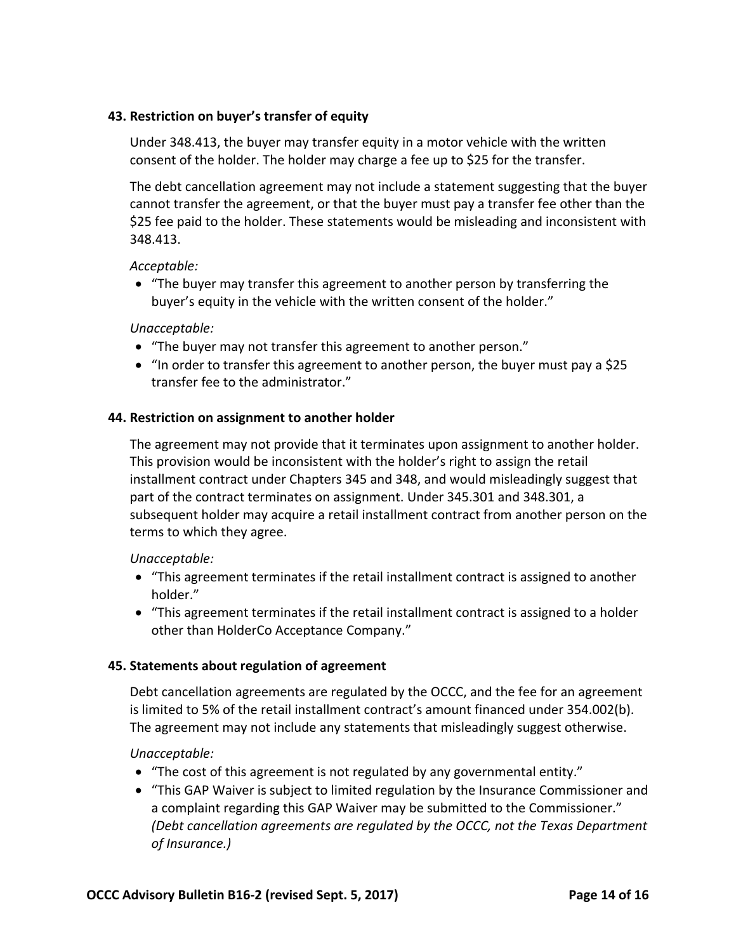# **43. Restriction on buyer's transfer of equity**

 Under 348.413, the buyer may transfer equity in a motor vehicle with the written consent of the holder. The holder may charge a fee up to \$25 for the transfer.

 The debt cancellation agreement may not include a statement suggesting that the buyer cannot transfer the agreement, or that the buyer must pay a transfer fee other than the \$25 fee paid to the holder. These statements would be misleading and inconsistent with 348.413.

### *Acceptable:*

 "The buyer may transfer this agreement to another person by transferring the buyer's equity in the vehicle with the written consent of the holder."

### *Unacceptable:*

- "The buyer may not transfer this agreement to another person."
- "In order to transfer this agreement to another person, the buyer must pay a \$25 transfer fee to the administrator."

# **44. Restriction on assignment to another holder**

 The agreement may not provide that it terminates upon assignment to another holder. This provision would be inconsistent with the holder's right to assign the retail installment contract under Chapters 345 and 348, and would misleadingly suggest that part of the contract terminates on assignment. Under 345.301 and 348.301, a subsequent holder may acquire a retail installment contract from another person on the terms to which they agree.

### *Unacceptable:*

- "This agreement terminates if the retail installment contract is assigned to another holder."
- "This agreement terminates if the retail installment contract is assigned to a holder other than HolderCo Acceptance Company."

### **45. Statements about regulation of agreement**

 Debt cancellation agreements are regulated by the OCCC, and the fee for an agreement is limited to 5% of the retail installment contract's amount financed under 354.002(b). The agreement may not include any statements that misleadingly suggest otherwise.

*Unacceptable:*

- "The cost of this agreement is not regulated by any governmental entity."
- "This GAP Waiver is subject to limited regulation by the Insurance Commissioner and a complaint regarding this GAP Waiver may be submitted to the Commissioner."  *(Debt cancellation agreements are regulated by the OCCC, not the Texas Department of Insurance.)*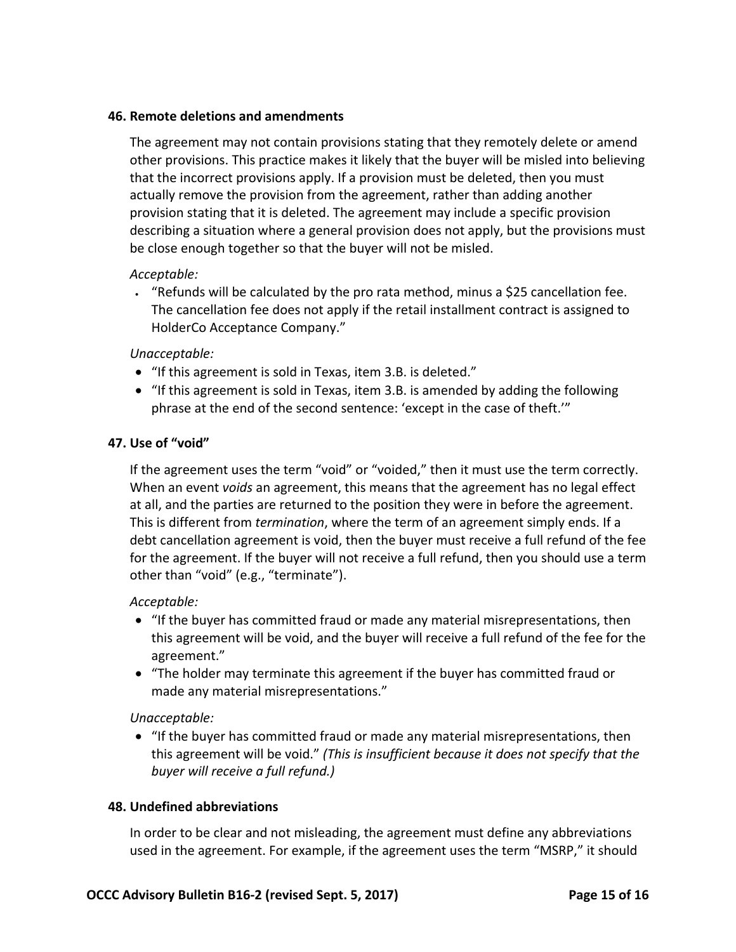# **46. Remote deletions and amendments**

 The agreement may not contain provisions stating that they remotely delete or amend other provisions. This practice makes it likely that the buyer will be misled into believing that the incorrect provisions apply. If a provision must be deleted, then you must actually remove the provision from the agreement, rather than adding another provision stating that it is deleted. The agreement may include a specific provision describing a situation where a general provision does not apply, but the provisions must be close enough together so that the buyer will not be misled.

### *Acceptable:*

 "Refunds will be calculated by the pro rata method, minus a \$25 cancellation fee. The cancellation fee does not apply if the retail installment contract is assigned to HolderCo Acceptance Company."

### *Unacceptable:*

- "If this agreement is sold in Texas, item 3.B. is deleted."
- "If this agreement is sold in Texas, item 3.B. is amended by adding the following phrase at the end of the second sentence: 'except in the case of theft.'"

# **47. Use of "void"**

 If the agreement uses the term "void" or "voided," then it must use the term correctly. When an event *voids* an agreement, this means that the agreement has no legal effect at all, and the parties are returned to the position they were in before the agreement. This is different from *termination*, where the term of an agreement simply ends. If a debt cancellation agreement is void, then the buyer must receive a full refund of the fee for the agreement. If the buyer will not receive a full refund, then you should use a term other than "void" (e.g., "terminate").

#### *Acceptable:*

- "If the buyer has committed fraud or made any material misrepresentations, then this agreement will be void, and the buyer will receive a full refund of the fee for the agreement."
- "The holder may terminate this agreement if the buyer has committed fraud or made any material misrepresentations."

### *Unacceptable:*

 "If the buyer has committed fraud or made any material misrepresentations, then  this agreement will be void." *(This is insufficient because it does not specify that the buyer will receive a full refund.)*

#### **48. Undefined abbreviations**

 In order to be clear and not misleading, the agreement must define any abbreviations used in the agreement. For example, if the agreement uses the term "MSRP," it should